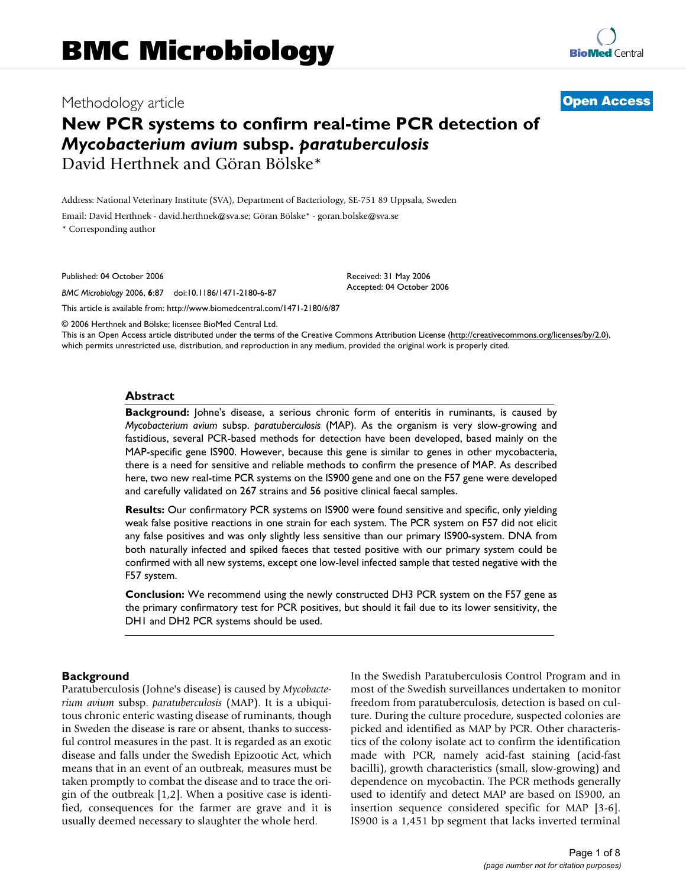# Methodology article **[Open Access](http://www.biomedcentral.com/info/about/charter/)**

# **New PCR systems to confirm real-time PCR detection of**  *Mycobacterium avium* **subsp.** *paratuberculosis* David Herthnek and Göran Bölske\*

Address: National Veterinary Institute (SVA), Department of Bacteriology, SE-751 89 Uppsala, Sweden

Email: David Herthnek - david.herthnek@sva.se; Göran Bölske\* - goran.bolske@sva.se

\* Corresponding author

Published: 04 October 2006

*BMC Microbiology* 2006, **6**:87 doi:10.1186/1471-2180-6-87

[This article is available from: http://www.biomedcentral.com/1471-2180/6/87](http://www.biomedcentral.com/1471-2180/6/87)

© 2006 Herthnek and Bölske; licensee BioMed Central Ltd.

This is an Open Access article distributed under the terms of the Creative Commons Attribution License [\(http://creativecommons.org/licenses/by/2.0\)](http://creativecommons.org/licenses/by/2.0), which permits unrestricted use, distribution, and reproduction in any medium, provided the original work is properly cited.

Received: 31 May 2006 Accepted: 04 October 2006

#### **Abstract**

**Background:** Johne's disease, a serious chronic form of enteritis in ruminants, is caused by *Mycobacterium avium* subsp. *paratuberculosis* (MAP). As the organism is very slow-growing and fastidious, several PCR-based methods for detection have been developed, based mainly on the MAP-specific gene IS900. However, because this gene is similar to genes in other mycobacteria, there is a need for sensitive and reliable methods to confirm the presence of MAP. As described here, two new real-time PCR systems on the IS900 gene and one on the F57 gene were developed and carefully validated on 267 strains and 56 positive clinical faecal samples.

**Results:** Our confirmatory PCR systems on IS900 were found sensitive and specific, only yielding weak false positive reactions in one strain for each system. The PCR system on F57 did not elicit any false positives and was only slightly less sensitive than our primary IS900-system. DNA from both naturally infected and spiked faeces that tested positive with our primary system could be confirmed with all new systems, except one low-level infected sample that tested negative with the F57 system.

**Conclusion:** We recommend using the newly constructed DH3 PCR system on the F57 gene as the primary confirmatory test for PCR positives, but should it fail due to its lower sensitivity, the DH1 and DH2 PCR systems should be used.

#### **Background**

Paratuberculosis (Johne's disease) is caused by *Mycobacterium avium* subsp. *paratuberculosis* (MAP). It is a ubiquitous chronic enteric wasting disease of ruminants, though in Sweden the disease is rare or absent, thanks to successful control measures in the past. It is regarded as an exotic disease and falls under the Swedish Epizootic Act, which means that in an event of an outbreak, measures must be taken promptly to combat the disease and to trace the origin of the outbreak [1,2]. When a positive case is identified, consequences for the farmer are grave and it is usually deemed necessary to slaughter the whole herd.

In the Swedish Paratuberculosis Control Program and in most of the Swedish surveillances undertaken to monitor freedom from paratuberculosis, detection is based on culture. During the culture procedure, suspected colonies are picked and identified as MAP by PCR. Other characteristics of the colony isolate act to confirm the identification made with PCR, namely acid-fast staining (acid-fast bacilli), growth characteristics (small, slow-growing) and dependence on mycobactin. The PCR methods generally used to identify and detect MAP are based on IS900, an insertion sequence considered specific for MAP [3-6]. IS900 is a 1,451 bp segment that lacks inverted terminal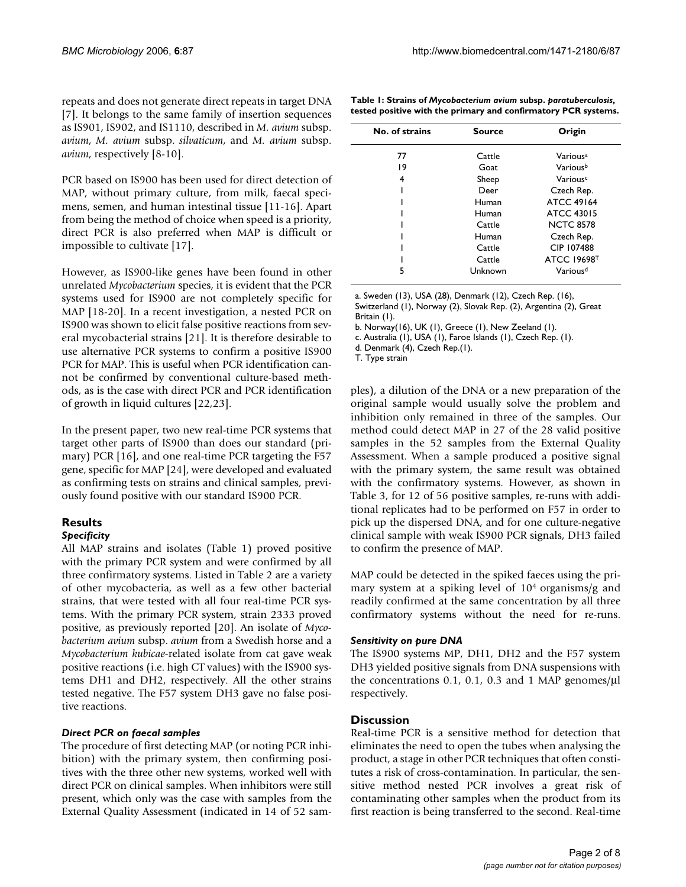repeats and does not generate direct repeats in target DNA [7]. It belongs to the same family of insertion sequences as IS901, IS902, and IS1110, described in *M. avium* subsp. *avium*, *M. avium* subsp. *silvaticum*, and *M. avium* subsp. *avium*, respectively [8-10].

PCR based on IS900 has been used for direct detection of MAP, without primary culture, from milk, faecal specimens, semen, and human intestinal tissue [11-16]. Apart from being the method of choice when speed is a priority, direct PCR is also preferred when MAP is difficult or impossible to cultivate [17].

However, as IS900-like genes have been found in other unrelated *Mycobacterium* species, it is evident that the PCR systems used for IS900 are not completely specific for MAP [18-20]. In a recent investigation, a nested PCR on IS900 was shown to elicit false positive reactions from several mycobacterial strains [21]. It is therefore desirable to use alternative PCR systems to confirm a positive IS900 PCR for MAP. This is useful when PCR identification cannot be confirmed by conventional culture-based methods, as is the case with direct PCR and PCR identification of growth in liquid cultures [22,23].

In the present paper, two new real-time PCR systems that target other parts of IS900 than does our standard (primary) PCR [16], and one real-time PCR targeting the F57 gene, specific for MAP [24], were developed and evaluated as confirming tests on strains and clinical samples, previously found positive with our standard IS900 PCR.

# **Results**

### *Specificity*

All MAP strains and isolates (Table 1) proved positive with the primary PCR system and were confirmed by all three confirmatory systems. Listed in Table 2 are a variety of other mycobacteria, as well as a few other bacterial strains, that were tested with all four real-time PCR systems. With the primary PCR system, strain 2333 proved positive, as previously reported [20]. An isolate of *Mycobacterium avium* subsp. *avium* from a Swedish horse and a *Mycobacterium kubicae*-related isolate from cat gave weak positive reactions (i.e. high CT values) with the IS900 systems DH1 and DH2, respectively. All the other strains tested negative. The F57 system DH3 gave no false positive reactions.

#### *Direct PCR on faecal samples*

The procedure of first detecting MAP (or noting PCR inhibition) with the primary system, then confirming positives with the three other new systems, worked well with direct PCR on clinical samples. When inhibitors were still present, which only was the case with samples from the External Quality Assessment (indicated in 14 of 52 sam-

| No. of strains | <b>Source</b> | Origin               |  |
|----------------|---------------|----------------------|--|
| 77             | Cattle        | Various <sup>a</sup> |  |
| 19             | Goat          | Variousb             |  |
| 4              | Sheep         | Various <sup>c</sup> |  |
|                | Deer          | Czech Rep.           |  |
|                | Human         | <b>ATCC 49164</b>    |  |
|                | Human         | <b>ATCC 43015</b>    |  |
|                | Cattle        | <b>NCTC 8578</b>     |  |
|                | Human         | Czech Rep.           |  |
|                | Cattle        | CIP 107488           |  |
|                | Cattle        | <b>ATCC 19698T</b>   |  |
| 5              | Unknown       | Various <sup>d</sup> |  |

**Table 1: Strains of** *Mycobacterium avium* **subsp.** *paratuberculosis***, tested positive with the primary and confirmatory PCR systems.**

a. Sweden (13), USA (28), Denmark (12), Czech Rep. (16), Switzerland (1), Norway (2), Slovak Rep. (2), Argentina (2), Great

Britain (1).

b. Norway(16), UK (1), Greece (1), New Zeeland (1).

c. Australia (1), USA (1), Faroe Islands (1), Czech Rep. (1).

d. Denmark (4), Czech Rep.(1).

T. Type strain

ples), a dilution of the DNA or a new preparation of the original sample would usually solve the problem and inhibition only remained in three of the samples. Our method could detect MAP in 27 of the 28 valid positive samples in the 52 samples from the External Quality Assessment. When a sample produced a positive signal with the primary system, the same result was obtained with the confirmatory systems. However, as shown in Table 3, for 12 of 56 positive samples, re-runs with additional replicates had to be performed on F57 in order to pick up the dispersed DNA, and for one culture-negative clinical sample with weak IS900 PCR signals, DH3 failed to confirm the presence of MAP.

MAP could be detected in the spiked faeces using the primary system at a spiking level of 104 organisms/g and readily confirmed at the same concentration by all three confirmatory systems without the need for re-runs.

#### *Sensitivity on pure DNA*

The IS900 systems MP, DH1, DH2 and the F57 system DH3 yielded positive signals from DNA suspensions with the concentrations 0.1, 0.1, 0.3 and 1 MAP genomes/μl respectively.

#### **Discussion**

Real-time PCR is a sensitive method for detection that eliminates the need to open the tubes when analysing the product, a stage in other PCR techniques that often constitutes a risk of cross-contamination. In particular, the sensitive method nested PCR involves a great risk of contaminating other samples when the product from its first reaction is being transferred to the second. Real-time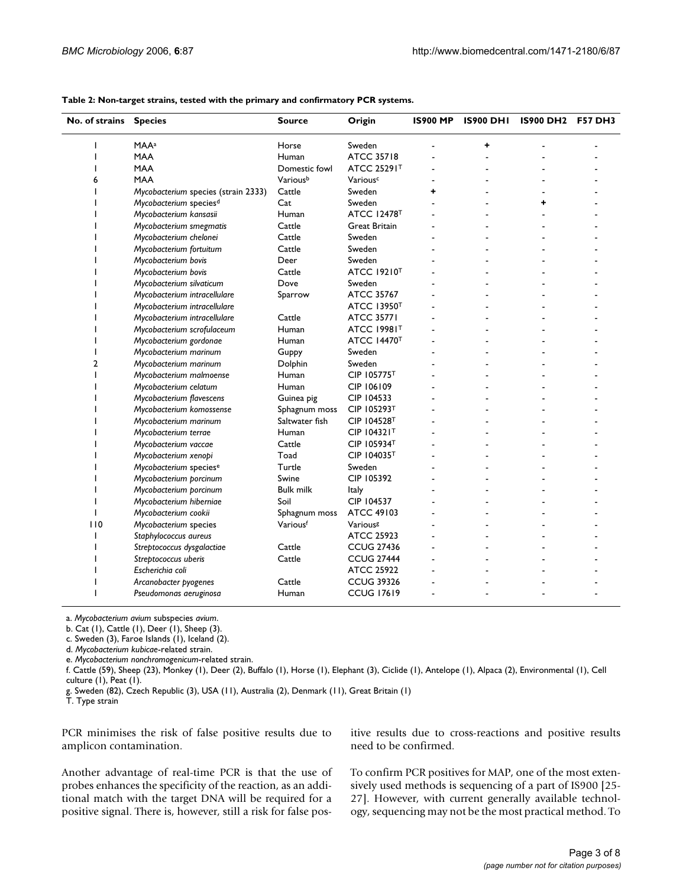| No. of strains | <b>Species</b>                      | <b>Source</b>    | Origin                        | <b>IS900 MP</b> | <b>IS900 DHI</b> | <b>IS900 DH2</b> | <b>F57 DH3</b> |
|----------------|-------------------------------------|------------------|-------------------------------|-----------------|------------------|------------------|----------------|
| ı              | <b>MAA</b> <sup>a</sup>             | Horse            | Sweden                        |                 | ٠                |                  |                |
|                | <b>MAA</b>                          | Human            | <b>ATCC 35718</b>             |                 |                  |                  |                |
|                | <b>MAA</b>                          | Domestic fowl    | ATCC 25291T                   |                 |                  |                  |                |
| 6              | <b>MAA</b>                          | Variousb         | Variousc                      |                 |                  |                  |                |
|                | Mycobacterium species (strain 2333) | $\mbox{Cattle}$  | Sweden                        | ÷               |                  |                  |                |
|                | Mycobacterium species <sup>d</sup>  | Cat              | Sweden                        |                 |                  | +                |                |
|                | Mycobacterium kansasii              | Human            | <b>ATCC 12478<sup>T</sup></b> |                 |                  |                  |                |
|                | Mycobacterium smegmatis             | Cattle           | <b>Great Britain</b>          |                 |                  |                  |                |
|                | Mycobacterium chelonei              | Cattle           | Sweden                        |                 |                  |                  |                |
|                | Mycobacterium fortuitum             | Cattle           | Sweden                        |                 |                  |                  |                |
|                | Mycobacterium bovis                 | Deer             | Sweden                        |                 |                  |                  |                |
|                | Mycobacterium bovis                 | Cattle           | ATCC 19210 <sup>T</sup>       |                 |                  |                  |                |
|                | Mycobacterium silvaticum            | Dove             | Sweden                        |                 |                  |                  |                |
|                | Mycobacterium intracellulare        | Sparrow          | ATCC 35767                    |                 |                  |                  |                |
|                | Mycobacterium intracellulare        |                  | <b>ATCC 13950T</b>            |                 |                  |                  |                |
|                | Mycobacterium intracellulare        | Cattle           | <b>ATCC 35771</b>             |                 |                  |                  |                |
|                | Mycobacterium scrofulaceum          | Human            | <b>ATCC 19981T</b>            |                 |                  |                  |                |
|                | Mycobacterium gordonae              | Human            | <b>ATCC 14470<sup>T</sup></b> |                 |                  |                  |                |
|                | Mycobacterium marinum               | Guppy            | Sweden                        |                 |                  |                  |                |
| $\overline{2}$ | Mycobacterium marinum               | Dolphin          | Sweden                        |                 |                  |                  |                |
|                | Mycobacterium malmoense             | Human            | CIP 105775T                   |                 |                  |                  |                |
|                | Mycobacterium celatum               | Human            | CIP 106109                    |                 |                  |                  |                |
|                | Mycobacterium flavescens            | Guinea pig       | CIP 104533                    |                 |                  |                  |                |
|                | Mycobacterium komossense            | Sphagnum moss    | CIP 105293T                   |                 |                  |                  |                |
|                | Mycobacterium marinum               | Saltwater fish   | CIP 104528T                   |                 |                  |                  |                |
|                | Mycobacterium terrae                | Human            | CIP 104321T                   |                 |                  |                  |                |
|                | Mycobacterium vaccae                | Cattle           | CIP 105934T                   |                 |                  |                  |                |
|                | Mycobacterium xenopi                | Toad             | CIP 104035T                   |                 |                  |                  |                |
|                | Mycobacterium species <sup>e</sup>  | Turtle           | Sweden                        |                 |                  |                  |                |
|                | Mycobacterium porcinum              | Swine            | CIP 105392                    |                 |                  |                  |                |
|                | Mycobacterium porcinum              | <b>Bulk milk</b> | <b>Italy</b>                  |                 |                  |                  |                |
|                | Mycobacterium hiberniae             | Soil             | CIP 104537                    |                 |                  |                  |                |
|                | Mycobacterium cookii                | Sphagnum moss    | <b>ATCC 49103</b>             |                 |                  |                  |                |
| 110            | Mycobacterium species               | Variousf         | Various <sup>g</sup>          |                 |                  |                  |                |
|                | Staphylococcus aureus               |                  | <b>ATCC 25923</b>             |                 |                  |                  |                |
|                | Streptococcus dysgalactiae          | Cattle           | <b>CCUG 27436</b>             |                 |                  |                  |                |
|                | Streptococcus uberis                | Cattle           | <b>CCUG 27444</b>             |                 |                  |                  |                |
|                | Escherichia coli                    |                  | <b>ATCC 25922</b>             |                 |                  |                  |                |
|                | Arcanobacter pyogenes               | Cattle           | <b>CCUG 39326</b>             |                 |                  |                  |                |
| T              | Pseudomonas aeruginosa              | Human            | <b>CCUG 17619</b>             |                 |                  |                  |                |

#### **Table 2: Non-target strains, tested with the primary and confirmatory PCR systems.**

a. *Mycobacterium avium* subspecies *avium*.

b. Cat (1), Cattle (1), Deer (1), Sheep (3).

c. Sweden (3), Faroe Islands (1), Iceland (2).

d. *Mycobacterium kubicae*-related strain.

e. *Mycobacterium nonchromogenicum*-related strain.

f. Cattle (59), Sheep (23), Monkey (1), Deer (2), Buffalo (1), Horse (1), Elephant (3), Ciclide (1), Antelope (1), Alpaca (2), Environmental (1), Cell culture (1), Peat (1).

g. Sweden (82), Czech Republic (3), USA (11), Australia (2), Denmark (11), Great Britain (1)

T. Type strain

PCR minimises the risk of false positive results due to amplicon contamination.

Another advantage of real-time PCR is that the use of probes enhances the specificity of the reaction, as an additional match with the target DNA will be required for a positive signal. There is, however, still a risk for false positive results due to cross-reactions and positive results need to be confirmed.

To confirm PCR positives for MAP, one of the most extensively used methods is sequencing of a part of IS900 [25- 27]. However, with current generally available technology, sequencing may not be the most practical method. To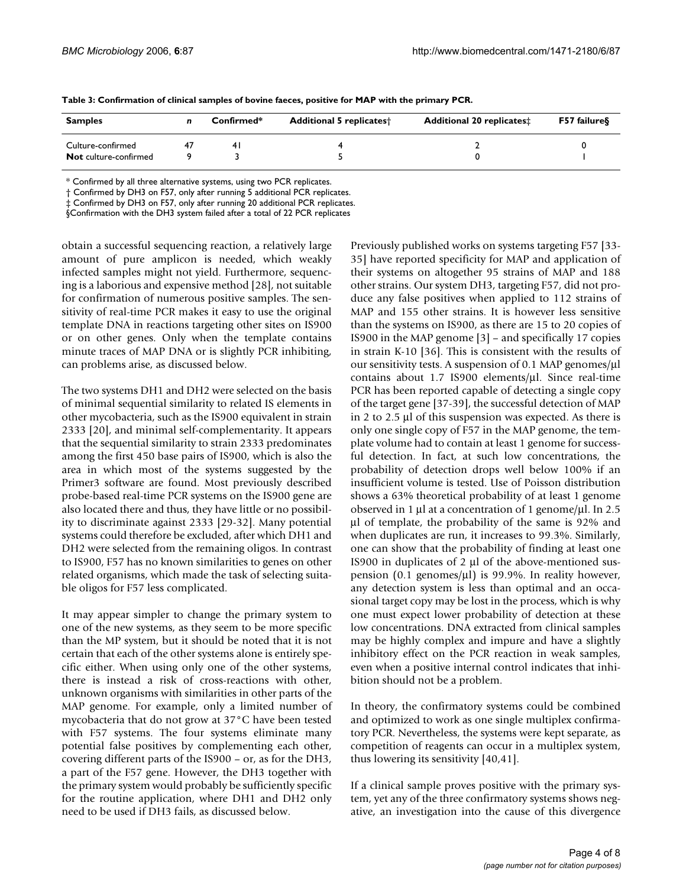| <b>Samples</b>        | $Confirmed*$ |     | <b>Additional 5 replicates</b> † | <b>Additional 20 replicates:</b> | F57 failure§ |  |
|-----------------------|--------------|-----|----------------------------------|----------------------------------|--------------|--|
| Culture-confirmed     |              | 4 I |                                  |                                  |              |  |
| Not culture-confirmed |              |     |                                  |                                  |              |  |

**Table 3: Confirmation of clinical samples of bovine faeces, positive for MAP with the primary PCR.**

\* Confirmed by all three alternative systems, using two PCR replicates.

† Confirmed by DH3 on F57, only after running 5 additional PCR replicates.

‡ Confirmed by DH3 on F57, only after running 20 additional PCR replicates.

§Confirmation with the DH3 system failed after a total of 22 PCR replicates

obtain a successful sequencing reaction, a relatively large amount of pure amplicon is needed, which weakly infected samples might not yield. Furthermore, sequencing is a laborious and expensive method [28], not suitable for confirmation of numerous positive samples. The sensitivity of real-time PCR makes it easy to use the original template DNA in reactions targeting other sites on IS900 or on other genes. Only when the template contains minute traces of MAP DNA or is slightly PCR inhibiting, can problems arise, as discussed below.

The two systems DH1 and DH2 were selected on the basis of minimal sequential similarity to related IS elements in other mycobacteria, such as the IS900 equivalent in strain 2333 [20], and minimal self-complementarity. It appears that the sequential similarity to strain 2333 predominates among the first 450 base pairs of IS900, which is also the area in which most of the systems suggested by the Primer3 software are found. Most previously described probe-based real-time PCR systems on the IS900 gene are also located there and thus, they have little or no possibility to discriminate against 2333 [29-32]. Many potential systems could therefore be excluded, after which DH1 and DH2 were selected from the remaining oligos. In contrast to IS900, F57 has no known similarities to genes on other related organisms, which made the task of selecting suitable oligos for F57 less complicated.

It may appear simpler to change the primary system to one of the new systems, as they seem to be more specific than the MP system, but it should be noted that it is not certain that each of the other systems alone is entirely specific either. When using only one of the other systems, there is instead a risk of cross-reactions with other, unknown organisms with similarities in other parts of the MAP genome. For example, only a limited number of mycobacteria that do not grow at 37°C have been tested with F57 systems. The four systems eliminate many potential false positives by complementing each other, covering different parts of the IS900 – or, as for the DH3, a part of the F57 gene. However, the DH3 together with the primary system would probably be sufficiently specific for the routine application, where DH1 and DH2 only need to be used if DH3 fails, as discussed below.

Previously published works on systems targeting F57 [33- 35] have reported specificity for MAP and application of their systems on altogether 95 strains of MAP and 188 other strains. Our system DH3, targeting F57, did not produce any false positives when applied to 112 strains of MAP and 155 other strains. It is however less sensitive than the systems on IS900, as there are 15 to 20 copies of IS900 in the MAP genome [3] – and specifically 17 copies in strain K-10 [36]. This is consistent with the results of our sensitivity tests. A suspension of 0.1 MAP genomes/μl contains about 1.7 IS900 elements/μl. Since real-time PCR has been reported capable of detecting a single copy of the target gene [37-39], the successful detection of MAP in 2 to 2.5 μl of this suspension was expected. As there is only one single copy of F57 in the MAP genome, the template volume had to contain at least 1 genome for successful detection. In fact, at such low concentrations, the probability of detection drops well below 100% if an insufficient volume is tested. Use of Poisson distribution shows a 63% theoretical probability of at least 1 genome observed in 1 μl at a concentration of 1 genome/μl. In 2.5 μl of template, the probability of the same is 92% and when duplicates are run, it increases to 99.3%. Similarly, one can show that the probability of finding at least one IS900 in duplicates of 2 μl of the above-mentioned suspension (0.1 genomes/μl) is 99.9%. In reality however, any detection system is less than optimal and an occasional target copy may be lost in the process, which is why one must expect lower probability of detection at these low concentrations. DNA extracted from clinical samples may be highly complex and impure and have a slightly inhibitory effect on the PCR reaction in weak samples, even when a positive internal control indicates that inhibition should not be a problem.

In theory, the confirmatory systems could be combined and optimized to work as one single multiplex confirmatory PCR. Nevertheless, the systems were kept separate, as competition of reagents can occur in a multiplex system, thus lowering its sensitivity [40,41].

If a clinical sample proves positive with the primary system, yet any of the three confirmatory systems shows negative, an investigation into the cause of this divergence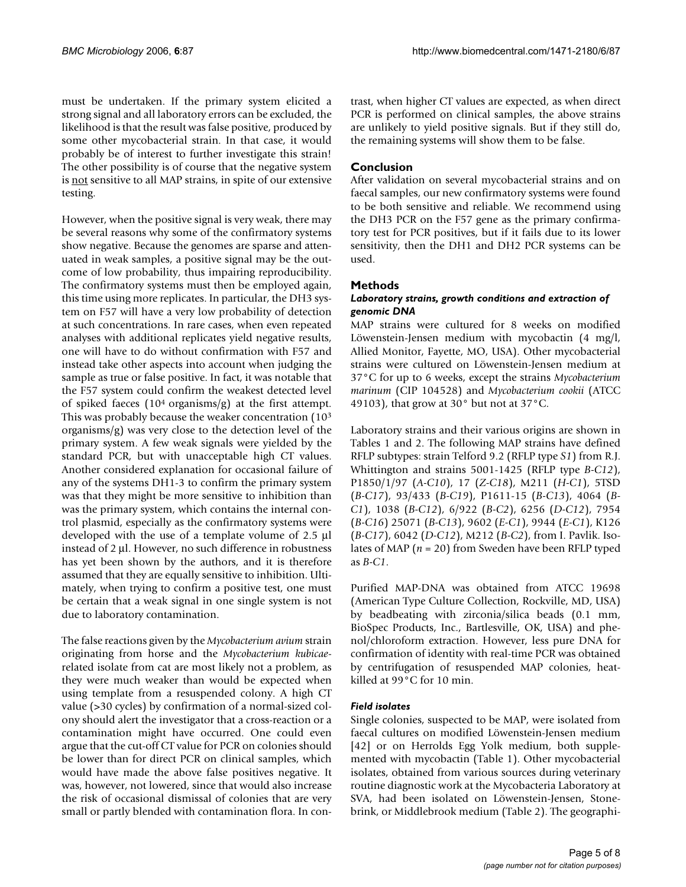must be undertaken. If the primary system elicited a strong signal and all laboratory errors can be excluded, the likelihood is that the result was false positive, produced by some other mycobacterial strain. In that case, it would probably be of interest to further investigate this strain! The other possibility is of course that the negative system is not sensitive to all MAP strains, in spite of our extensive testing.

However, when the positive signal is very weak, there may be several reasons why some of the confirmatory systems show negative. Because the genomes are sparse and attenuated in weak samples, a positive signal may be the outcome of low probability, thus impairing reproducibility. The confirmatory systems must then be employed again, this time using more replicates. In particular, the DH3 system on F57 will have a very low probability of detection at such concentrations. In rare cases, when even repeated analyses with additional replicates yield negative results, one will have to do without confirmation with F57 and instead take other aspects into account when judging the sample as true or false positive. In fact, it was notable that the F57 system could confirm the weakest detected level of spiked faeces  $(10<sup>4</sup>$  organisms/g) at the first attempt. This was probably because the weaker concentration (103 organisms/g) was very close to the detection level of the primary system. A few weak signals were yielded by the standard PCR, but with unacceptable high CT values. Another considered explanation for occasional failure of any of the systems DH1-3 to confirm the primary system was that they might be more sensitive to inhibition than was the primary system, which contains the internal control plasmid, especially as the confirmatory systems were developed with the use of a template volume of 2.5 μl instead of 2 μl. However, no such difference in robustness has yet been shown by the authors, and it is therefore assumed that they are equally sensitive to inhibition. Ultimately, when trying to confirm a positive test, one must be certain that a weak signal in one single system is not due to laboratory contamination.

The false reactions given by the *Mycobacterium avium* strain originating from horse and the *Mycobacterium kubicae*related isolate from cat are most likely not a problem, as they were much weaker than would be expected when using template from a resuspended colony. A high CT value (>30 cycles) by confirmation of a normal-sized colony should alert the investigator that a cross-reaction or a contamination might have occurred. One could even argue that the cut-off CT value for PCR on colonies should be lower than for direct PCR on clinical samples, which would have made the above false positives negative. It was, however, not lowered, since that would also increase the risk of occasional dismissal of colonies that are very small or partly blended with contamination flora. In contrast, when higher CT values are expected, as when direct PCR is performed on clinical samples, the above strains are unlikely to yield positive signals. But if they still do, the remaining systems will show them to be false.

## **Conclusion**

After validation on several mycobacterial strains and on faecal samples, our new confirmatory systems were found to be both sensitive and reliable. We recommend using the DH3 PCR on the F57 gene as the primary confirmatory test for PCR positives, but if it fails due to its lower sensitivity, then the DH1 and DH2 PCR systems can be used.

## **Methods**

#### *Laboratory strains, growth conditions and extraction of genomic DNA*

MAP strains were cultured for 8 weeks on modified Löwenstein-Jensen medium with mycobactin (4 mg/l, Allied Monitor, Fayette, MO, USA). Other mycobacterial strains were cultured on Löwenstein-Jensen medium at 37°C for up to 6 weeks, except the strains *Mycobacterium marinum* (CIP 104528) and *Mycobacterium cookii* (ATCC 49103), that grow at 30° but not at 37°C.

Laboratory strains and their various origins are shown in Tables 1 and 2. The following MAP strains have defined RFLP subtypes: strain Telford 9.2 (RFLP type *S1*) from R.J. Whittington and strains 5001-1425 (RFLP type *B-C12*), P1850/1/97 (*A-C10*), 17 (*Z-C18*), M211 (*H-C1*), 5TSD (*B-C17*), 93/433 (*B-C19*), P1611-15 (*B-C13*), 4064 (*B-C1*), 1038 (*B-C12*), 6/922 (*B-C2*), 6256 (*D-C12*), 7954 (*B-C16*) 25071 (*B-C13*), 9602 (*E-C1*), 9944 (*E-C1*), K126 (*B-C17*), 6042 (*D-C12*), M212 (*B-C2*), from I. Pavlik. Isolates of MAP (*n* = 20) from Sweden have been RFLP typed as *B-C1*.

Purified MAP-DNA was obtained from ATCC 19698 (American Type Culture Collection, Rockville, MD, USA) by beadbeating with zirconia/silica beads (0.1 mm, BioSpec Products, Inc., Bartlesville, OK, USA) and phenol/chloroform extraction. However, less pure DNA for confirmation of identity with real-time PCR was obtained by centrifugation of resuspended MAP colonies, heatkilled at 99°C for 10 min.

#### *Field isolates*

Single colonies, suspected to be MAP, were isolated from faecal cultures on modified Löwenstein-Jensen medium [42] or on Herrolds Egg Yolk medium, both supplemented with mycobactin (Table 1). Other mycobacterial isolates, obtained from various sources during veterinary routine diagnostic work at the Mycobacteria Laboratory at SVA, had been isolated on Löwenstein-Jensen, Stonebrink, or Middlebrook medium (Table 2). The geographi-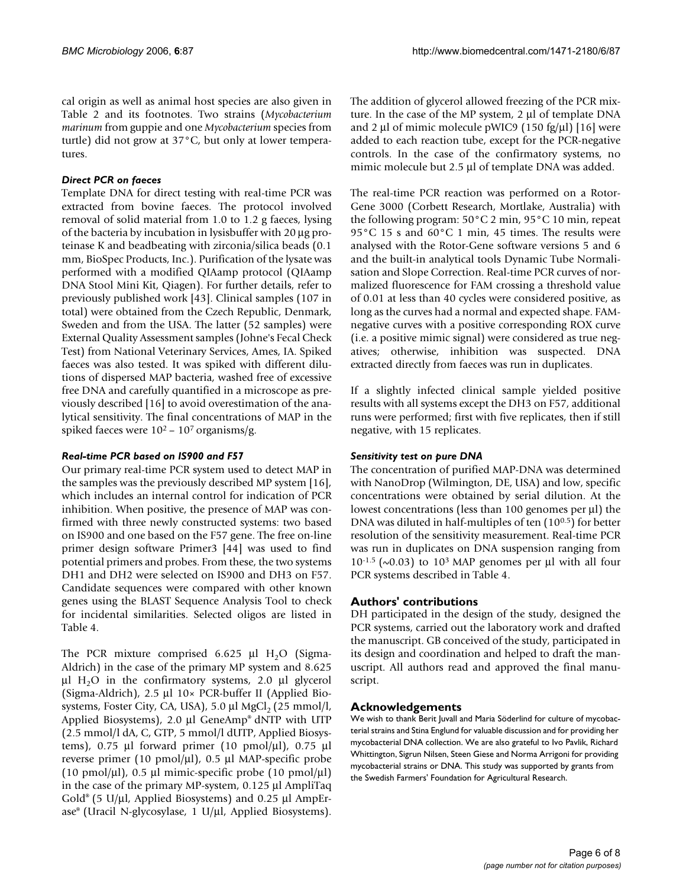cal origin as well as animal host species are also given in Table 2 and its footnotes. Two strains (*Mycobacterium marinum* from guppie and one *Mycobacterium* species from turtle) did not grow at 37°C, but only at lower temperatures.

### *Direct PCR on faeces*

Template DNA for direct testing with real-time PCR was extracted from bovine faeces. The protocol involved removal of solid material from 1.0 to 1.2 g faeces, lysing of the bacteria by incubation in lysisbuffer with 20 μg proteinase K and beadbeating with zirconia/silica beads (0.1 mm, BioSpec Products, Inc.). Purification of the lysate was performed with a modified QIAamp protocol (QIAamp DNA Stool Mini Kit, Qiagen). For further details, refer to previously published work [43]. Clinical samples (107 in total) were obtained from the Czech Republic, Denmark, Sweden and from the USA. The latter (52 samples) were External Quality Assessment samples (Johne's Fecal Check Test) from National Veterinary Services, Ames, IA. Spiked faeces was also tested. It was spiked with different dilutions of dispersed MAP bacteria, washed free of excessive free DNA and carefully quantified in a microscope as previously described [16] to avoid overestimation of the analytical sensitivity. The final concentrations of MAP in the spiked faeces were  $10^2$  –  $10^7$  organisms/g.

#### *Real-time PCR based on IS900 and F57*

Our primary real-time PCR system used to detect MAP in the samples was the previously described MP system [16], which includes an internal control for indication of PCR inhibition. When positive, the presence of MAP was confirmed with three newly constructed systems: two based on IS900 and one based on the F57 gene. The free on-line primer design software Primer3 [44] was used to find potential primers and probes. From these, the two systems DH1 and DH2 were selected on IS900 and DH3 on F57. Candidate sequences were compared with other known genes using the BLAST Sequence Analysis Tool to check for incidental similarities. Selected oligos are listed in Table 4.

The PCR mixture comprised 6.625 μl  $H_2O$  (Sigma-Aldrich) in the case of the primary MP system and 8.625 μl H<sub>2</sub>O in the confirmatory systems, 2.0 μl glycerol (Sigma-Aldrich), 2.5 μl 10× PCR-buffer II (Applied Biosystems, Foster City, CA, USA), 5.0 μl MgCl<sub>2</sub> (25 mmol/l, Applied Biosystems), 2.0 μl GeneAmp® dNTP with UTP (2.5 mmol/l dA, C, GTP, 5 mmol/l dUTP, Applied Biosystems),  $0.75$  μl forward primer (10 pmol/μl),  $0.75$  μl reverse primer (10 pmol/μl), 0.5 μl MAP-specific probe (10 pmol/ $\mu$ l), 0.5  $\mu$ l mimic-specific probe (10 pmol/ $\mu$ l) in the case of the primary MP-system, 0.125 μl AmpliTaq Gold® (5 U/μl, Applied Biosystems) and 0.25 μl AmpErase® (Uracil N-glycosylase, 1 U/μl, Applied Biosystems).

The addition of glycerol allowed freezing of the PCR mixture. In the case of the MP system, 2 μl of template DNA and 2 μl of mimic molecule pWIC9 (150 fg/μl) [16] were added to each reaction tube, except for the PCR-negative controls. In the case of the confirmatory systems, no mimic molecule but 2.5 μl of template DNA was added.

The real-time PCR reaction was performed on a Rotor-Gene 3000 (Corbett Research, Mortlake, Australia) with the following program: 50°C 2 min, 95°C 10 min, repeat 95°C 15 s and 60°C 1 min, 45 times. The results were analysed with the Rotor-Gene software versions 5 and 6 and the built-in analytical tools Dynamic Tube Normalisation and Slope Correction. Real-time PCR curves of normalized fluorescence for FAM crossing a threshold value of 0.01 at less than 40 cycles were considered positive, as long as the curves had a normal and expected shape. FAMnegative curves with a positive corresponding ROX curve (i.e. a positive mimic signal) were considered as true negatives; otherwise, inhibition was suspected. DNA extracted directly from faeces was run in duplicates.

If a slightly infected clinical sample yielded positive results with all systems except the DH3 on F57, additional runs were performed; first with five replicates, then if still negative, with 15 replicates.

#### *Sensitivity test on pure DNA*

The concentration of purified MAP-DNA was determined with NanoDrop (Wilmington, DE, USA) and low, specific concentrations were obtained by serial dilution. At the lowest concentrations (less than 100 genomes per μl) the DNA was diluted in half-multiples of ten (100.5) for better resolution of the sensitivity measurement. Real-time PCR was run in duplicates on DNA suspension ranging from  $10^{-1.5}$  ( $\sim$ 0.03) to 10<sup>3</sup> MAP genomes per μl with all four PCR systems described in Table 4.

# **Authors' contributions**

DH participated in the design of the study, designed the PCR systems, carried out the laboratory work and drafted the manuscript. GB conceived of the study, participated in its design and coordination and helped to draft the manuscript. All authors read and approved the final manuscript.

#### **Acknowledgements**

We wish to thank Berit Juvall and Maria Söderlind for culture of mycobacterial strains and Stina Englund for valuable discussion and for providing her mycobacterial DNA collection. We are also grateful to Ivo Pavlik, Richard Whittington, Sigrun Nilsen, Steen Giese and Norma Arrigoni for providing mycobacterial strains or DNA. This study was supported by grants from the Swedish Farmers' Foundation for Agricultural Research.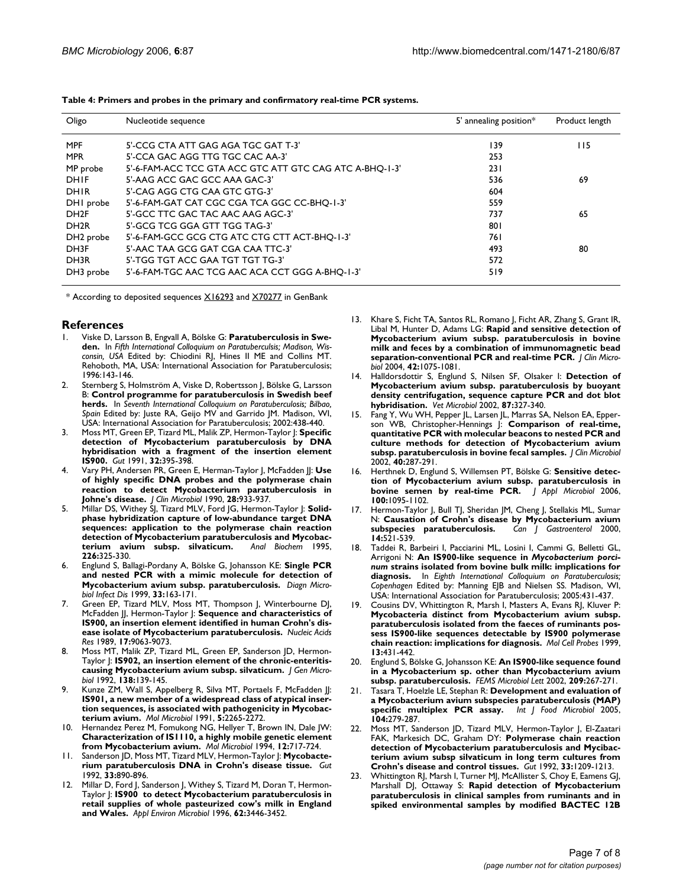| Oligo                 | Nucleotide sequence                                     | 5' annealing position* | Product length |
|-----------------------|---------------------------------------------------------|------------------------|----------------|
| <b>MPF</b>            | 5'-CCG CTA ATT GAG AGA TGC GAT T-3'                     | 139                    | 115            |
| <b>MPR</b>            | 5'-CCA GAC AGG TTG TGC CAC AA-3'                        | 253                    |                |
| MP probe              | 5'-6-FAM-ACC TCC GTA ACC GTC ATT GTC CAG ATC A-BHQ-1-3' | 231                    |                |
| <b>DHIF</b>           | 5'-AAG ACC GAC GCC AAA GAC-3'                           | 536                    | 69             |
| DHIR                  | 5'-CAG AGG CTG CAA GTC GTG-3'                           | 604                    |                |
| DHI probe             | 5'-6-FAM-GAT CAT CGC CGA TCA GGC CC-BHQ-1-3'            | 559                    |                |
| DH <sub>2F</sub>      | 5'-GCC TTC GAC TAC AAC AAG AGC-3'                       | 737                    | 65             |
| DH <sub>2R</sub>      | 5'-GCG TCG GGA GTT TGG TAG-3'                           | 801                    |                |
| DH <sub>2</sub> probe | 5'-6-FAM-GCC GCG CTG ATC CTG CTT ACT-BHQ-1-3'           | 761                    |                |
| DH3F                  | 5'-AAC TAA GCG GAT CGA CAA TTC-3'                       | 493                    | 80             |
| DH3R                  | 5'-TGG TGT ACC GAA TGT TGT TG-3'                        | 572                    |                |
| DH3 probe             | 5'-6-FAM-TGC AAC TCG AAC ACA CCT GGG A-BHO-1-3'         | 519                    |                |

**Table 4: Primers and probes in the primary and confirmatory real-time PCR systems.**

\* According to deposited sequences [X16293](http://www.ncbi.nih.gov/entrez/query.fcgi?db=Nucleotide&cmd=search&term=X16293) and [X70277](http://www.ncbi.nih.gov/entrez/query.fcgi?db=Nucleotide&cmd=search&term=X70277) in GenBank

#### **References**

- 1. Viske D, Larsson B, Engvall A, Bölske G: **Paratuberculosis in Sweden.** In *Fifth International Colloquium on Paratuberculsis; Madison, Wisconsin, USA* Edited by: Chiodini RJ, Hines II ME and Collins MT. Rehoboth, MA, USA: International Association for Paratuberculosis; 1996:143-146.
- 2. Sternberg S, Holmström A, Viske D, Robertsson J, Bölske G, Larsson B: **Control programme for paratuberculosis in Swedish beef herds.** In *Seventh International Colloquium on Paratuberculosis; Bilbao, Spain* Edited by: Juste RA, Geijo MV and Garrido JM. Madison, WI, USA: International Association for Paratuberculosis; 2002:438-440.
- 3. Moss MT, Green EP, Tizard ML, Malik ZP, Hermon-Taylor J: **[Specific](http://www.ncbi.nlm.nih.gov/entrez/query.fcgi?cmd=Retrieve&db=PubMed&dopt=Abstract&list_uids=1851124) [detection of Mycobacterium paratuberculosis by DNA](http://www.ncbi.nlm.nih.gov/entrez/query.fcgi?cmd=Retrieve&db=PubMed&dopt=Abstract&list_uids=1851124) hybridisation with a fragment of the insertion element [IS900.](http://www.ncbi.nlm.nih.gov/entrez/query.fcgi?cmd=Retrieve&db=PubMed&dopt=Abstract&list_uids=1851124)** *Gut* 1991, **32:**395-398.
- 4. Vary PH, Andersen PR, Green E, Herman-Taylor J, McFadden JJ: **[Use](http://www.ncbi.nlm.nih.gov/entrez/query.fcgi?cmd=Retrieve&db=PubMed&dopt=Abstract&list_uids=2351737) [of highly specific DNA probes and the polymerase chain](http://www.ncbi.nlm.nih.gov/entrez/query.fcgi?cmd=Retrieve&db=PubMed&dopt=Abstract&list_uids=2351737) reaction to detect Mycobacterium paratuberculosis in [Johne's disease.](http://www.ncbi.nlm.nih.gov/entrez/query.fcgi?cmd=Retrieve&db=PubMed&dopt=Abstract&list_uids=2351737)** *J Clin Microbiol* 1990, **28:**933-937.
- 5. Millar DS, Withey SJ, Tizard MLV, Ford JG, Hermon-Taylor J: **[Solid](http://www.ncbi.nlm.nih.gov/entrez/query.fcgi?cmd=Retrieve&db=PubMed&dopt=Abstract&list_uids=7793635)[phase hybridization capture of low-abundance target DNA](http://www.ncbi.nlm.nih.gov/entrez/query.fcgi?cmd=Retrieve&db=PubMed&dopt=Abstract&list_uids=7793635) sequences: application to the polymerase chain reaction detection of Mycobacterium paratuberculosis and Mycobac**[terium avium subsp. silvaticum.](http://www.ncbi.nlm.nih.gov/entrez/query.fcgi?cmd=Retrieve&db=PubMed&dopt=Abstract&list_uids=7793635) **226:**325-330.
- 6. Englund S, Ballagi-Pordany A, Bölske G, Johansson KE: **[Single PCR](http://www.ncbi.nlm.nih.gov/entrez/query.fcgi?cmd=Retrieve&db=PubMed&dopt=Abstract&list_uids=10092965) [and nested PCR with a mimic molecule for detection of](http://www.ncbi.nlm.nih.gov/entrez/query.fcgi?cmd=Retrieve&db=PubMed&dopt=Abstract&list_uids=10092965) [Mycobacterium avium subsp. paratuberculosis.](http://www.ncbi.nlm.nih.gov/entrez/query.fcgi?cmd=Retrieve&db=PubMed&dopt=Abstract&list_uids=10092965)** *Diagn Microbiol Infect Dis* 1999, **33:**163-171.
- 7. Green EP, Tizard MLV, Moss MT, Thompson J, Winterbourne DJ, McFadden JJ, Hermon-Taylor J: **[Sequence and characteristics of](http://www.ncbi.nlm.nih.gov/entrez/query.fcgi?cmd=Retrieve&db=PubMed&dopt=Abstract&list_uids=2555783) [IS900, an insertion element identified in human Crohn's dis](http://www.ncbi.nlm.nih.gov/entrez/query.fcgi?cmd=Retrieve&db=PubMed&dopt=Abstract&list_uids=2555783)[ease isolate of Mycobacterium paratuberculosis.](http://www.ncbi.nlm.nih.gov/entrez/query.fcgi?cmd=Retrieve&db=PubMed&dopt=Abstract&list_uids=2555783)** *Nucleic Acids Res* 1989, **17:**9063-9073.
- 8. Moss MT, Malik ZP, Tizard ML, Green EP, Sanderson JD, Hermon-Taylor J: **[IS902, an insertion element of the chronic-enteritis](http://www.ncbi.nlm.nih.gov/entrez/query.fcgi?cmd=Retrieve&db=PubMed&dopt=Abstract&list_uids=1348267)[causing Mycobacterium avium subsp. silvaticum.](http://www.ncbi.nlm.nih.gov/entrez/query.fcgi?cmd=Retrieve&db=PubMed&dopt=Abstract&list_uids=1348267)** *J Gen Microbiol* 1992, **138:**139-145.
- 9. Kunze ZM, Wall S, Appelberg R, Silva MT, Portaels F, McFadden JJ: **[IS901, a new member of a widespread class of atypical inser](http://www.ncbi.nlm.nih.gov/entrez/query.fcgi?cmd=Retrieve&db=PubMed&dopt=Abstract&list_uids=1685008)tion sequences, is associated with pathogenicity in Mycobac[terium avium.](http://www.ncbi.nlm.nih.gov/entrez/query.fcgi?cmd=Retrieve&db=PubMed&dopt=Abstract&list_uids=1685008)** *Mol Microbiol* 1991, **5:**2265-2272.
- 10. Hernandez Perez M, Fomukong NG, Hellyer T, Brown IN, Dale JW: **[Characterization of IS1110, a highly mobile genetic element](http://www.ncbi.nlm.nih.gov/entrez/query.fcgi?cmd=Retrieve&db=PubMed&dopt=Abstract&list_uids=8052124) [from Mycobacterium avium.](http://www.ncbi.nlm.nih.gov/entrez/query.fcgi?cmd=Retrieve&db=PubMed&dopt=Abstract&list_uids=8052124)** *Mol Microbiol* 1994, **12:**717-724.
- 11. Sanderson JD, Moss MT, Tizard MLV, Hermon-Taylor J: **[Mycobacte](http://www.ncbi.nlm.nih.gov/entrez/query.fcgi?cmd=Retrieve&db=PubMed&dopt=Abstract&list_uids=1644328)[rium paratuberculosis DNA in Crohn's disease tissue.](http://www.ncbi.nlm.nih.gov/entrez/query.fcgi?cmd=Retrieve&db=PubMed&dopt=Abstract&list_uids=1644328)** *Gut* 1992, **33:**890-896.
- 12. Millar D, Ford J, Sanderson J, Withey S, Tizard M, Doran T, Hermon-Taylor J: **[IS900 to detect Mycobacterium paratuberculosis in](http://www.ncbi.nlm.nih.gov/entrez/query.fcgi?cmd=Retrieve&db=PubMed&dopt=Abstract&list_uids=8795236) [retail supplies of whole pasteurized cow's milk in England](http://www.ncbi.nlm.nih.gov/entrez/query.fcgi?cmd=Retrieve&db=PubMed&dopt=Abstract&list_uids=8795236) [and Wales.](http://www.ncbi.nlm.nih.gov/entrez/query.fcgi?cmd=Retrieve&db=PubMed&dopt=Abstract&list_uids=8795236)** *Appl Environ Microbiol* 1996, **62:**3446-3452.
- 13. Khare S, Ficht TA, Santos RL, Romano J, Ficht AR, Zhang S, Grant IR, Libal M, Hunter D, Adams LG: **[Rapid and sensitive detection of](http://www.ncbi.nlm.nih.gov/entrez/query.fcgi?cmd=Retrieve&db=PubMed&dopt=Abstract&list_uids=15004056) [Mycobacterium avium subsp. paratuberculosis in bovine](http://www.ncbi.nlm.nih.gov/entrez/query.fcgi?cmd=Retrieve&db=PubMed&dopt=Abstract&list_uids=15004056) milk and feces by a combination of immunomagnetic bead [separation-conventional PCR and real-time PCR.](http://www.ncbi.nlm.nih.gov/entrez/query.fcgi?cmd=Retrieve&db=PubMed&dopt=Abstract&list_uids=15004056)** *J Clin Microbiol* 2004, **42:**1075-1081.
- 14. Halldorsdottir S, Englund S, Nilsen SF, Olsaker I: **[Detection of](http://www.ncbi.nlm.nih.gov/entrez/query.fcgi?cmd=Retrieve&db=PubMed&dopt=Abstract&list_uids=12069770) [Mycobacterium avium subsp. paratuberculosis by buoyant](http://www.ncbi.nlm.nih.gov/entrez/query.fcgi?cmd=Retrieve&db=PubMed&dopt=Abstract&list_uids=12069770) density centrifugation, sequence capture PCR and dot blot [hybridisation.](http://www.ncbi.nlm.nih.gov/entrez/query.fcgi?cmd=Retrieve&db=PubMed&dopt=Abstract&list_uids=12069770)** *Vet Microbiol* 2002, **87:**327-340.
- 15. Fang Y, Wu WH, Pepper JL, Larsen JL, Marras SA, Nelson EA, Epperson WB, Christopher-Hennings J: **[Comparison of real-time,](http://www.ncbi.nlm.nih.gov/entrez/query.fcgi?cmd=Retrieve&db=PubMed&dopt=Abstract&list_uids=11773135) [quantitative PCR with molecular beacons to nested PCR and](http://www.ncbi.nlm.nih.gov/entrez/query.fcgi?cmd=Retrieve&db=PubMed&dopt=Abstract&list_uids=11773135) culture methods for detection of Mycobacterium avium [subsp. paratuberculosis in bovine fecal samples.](http://www.ncbi.nlm.nih.gov/entrez/query.fcgi?cmd=Retrieve&db=PubMed&dopt=Abstract&list_uids=11773135)** *J Clin Microbiol* 2002, **40:**287-291.
- 16. Herthnek D, Englund S, Willemsen PT, Bölske G: **[Sensitive detec](http://www.ncbi.nlm.nih.gov/entrez/query.fcgi?cmd=Retrieve&db=PubMed&dopt=Abstract&list_uids=16630010)[tion of Mycobacterium avium subsp. paratuberculosis in](http://www.ncbi.nlm.nih.gov/entrez/query.fcgi?cmd=Retrieve&db=PubMed&dopt=Abstract&list_uids=16630010) [bovine semen by real-time PCR.](http://www.ncbi.nlm.nih.gov/entrez/query.fcgi?cmd=Retrieve&db=PubMed&dopt=Abstract&list_uids=16630010)** *J Appl Microbiol* 2006, **100:**1095-1102.
- 17. Hermon-Taylor J, Bull TJ, Sheridan JM, Cheng J, Stellakis ML, Sumar N: **[Causation of Crohn's disease by Mycobacterium avium](http://www.ncbi.nlm.nih.gov/entrez/query.fcgi?cmd=Retrieve&db=PubMed&dopt=Abstract&list_uids=10888733)**  $subspecies$  paratuberculosis. **14:**521-539.
- 18. Taddei R, Barbeiri I, Pacciarini ML, Losini I, Cammi G, Belletti GL, Arrigoni N: **An IS900-like sequence in** *Mycobacterium porcinum* **strains isolated from bovine bulk milk: implications for diagnosis.** In *Eighth International Colloquium on Paratuberculosis; Copenhagen* Edited by: Manning EJB and Nielsen SS. Madison, WI, USA: International Association for Paratuberculosis; 2005:431-437.
- Cousins DV, Whittington R, Marsh I, Masters A, Evans RJ, Kluver P: **[Mycobacteria distinct from Mycobacterium avium subsp.](http://www.ncbi.nlm.nih.gov/entrez/query.fcgi?cmd=Retrieve&db=PubMed&dopt=Abstract&list_uids=10657148) paratuberculosis isolated from the faeces of ruminants possess IS900-like sequences detectable by IS900 polymerase [chain reaction: implications for diagnosis.](http://www.ncbi.nlm.nih.gov/entrez/query.fcgi?cmd=Retrieve&db=PubMed&dopt=Abstract&list_uids=10657148)** *Mol Cell Probes* 1999, **13:**431-442.
- 20. Englund S, Bölske G, Johansson KE: **[An IS900-like sequence found](http://www.ncbi.nlm.nih.gov/entrez/query.fcgi?cmd=Retrieve&db=PubMed&dopt=Abstract&list_uids=12007816) [in a Mycobacterium sp. other than Mycobacterium avium](http://www.ncbi.nlm.nih.gov/entrez/query.fcgi?cmd=Retrieve&db=PubMed&dopt=Abstract&list_uids=12007816) [subsp. paratuberculosis.](http://www.ncbi.nlm.nih.gov/entrez/query.fcgi?cmd=Retrieve&db=PubMed&dopt=Abstract&list_uids=12007816)** *FEMS Microbiol Lett* 2002, **209:**267-271.
- 21. Tasara T, Hoelzle LE, Stephan R: **[Development and evaluation of](http://www.ncbi.nlm.nih.gov/entrez/query.fcgi?cmd=Retrieve&db=PubMed&dopt=Abstract&list_uids=15982769)** [a Mycobacterium avium subspecies paratuberculosis \(MAP\)](http://www.ncbi.nlm.nih.gov/entrez/query.fcgi?cmd=Retrieve&db=PubMed&dopt=Abstract&list_uids=15982769)<br>specific multiplex PCR assay. Int J Food Microbiol 2005, [specific multiplex PCR assay.](http://www.ncbi.nlm.nih.gov/entrez/query.fcgi?cmd=Retrieve&db=PubMed&dopt=Abstract&list_uids=15982769) **104:**279-287.
- 22. Moss MT, Sanderson JD, Tizard MLV, Hermon-Taylor J, El-Zaatari FAK, Markesich DC, Graham DY: **[Polymerase chain reaction](http://www.ncbi.nlm.nih.gov/entrez/query.fcgi?cmd=Retrieve&db=PubMed&dopt=Abstract&list_uids=1427373) [detection of Mycobacterium paratuberculosis and Mycibac](http://www.ncbi.nlm.nih.gov/entrez/query.fcgi?cmd=Retrieve&db=PubMed&dopt=Abstract&list_uids=1427373)terium avium subsp silvaticum in long term cultures from [Crohn's disease and control tissues.](http://www.ncbi.nlm.nih.gov/entrez/query.fcgi?cmd=Retrieve&db=PubMed&dopt=Abstract&list_uids=1427373)** *Gut* 1992, **33:**1209-1213.
- 23. Whittington RJ, Marsh I, Turner MJ, McAllister S, Choy E, Eamens GJ, Marshall DJ, Ottaway S: **[Rapid detection of Mycobacterium](http://www.ncbi.nlm.nih.gov/entrez/query.fcgi?cmd=Retrieve&db=PubMed&dopt=Abstract&list_uids=9508299) [paratuberculosis in clinical samples from ruminants and in](http://www.ncbi.nlm.nih.gov/entrez/query.fcgi?cmd=Retrieve&db=PubMed&dopt=Abstract&list_uids=9508299) [spiked environmental samples by modified BACTEC 12B](http://www.ncbi.nlm.nih.gov/entrez/query.fcgi?cmd=Retrieve&db=PubMed&dopt=Abstract&list_uids=9508299)**